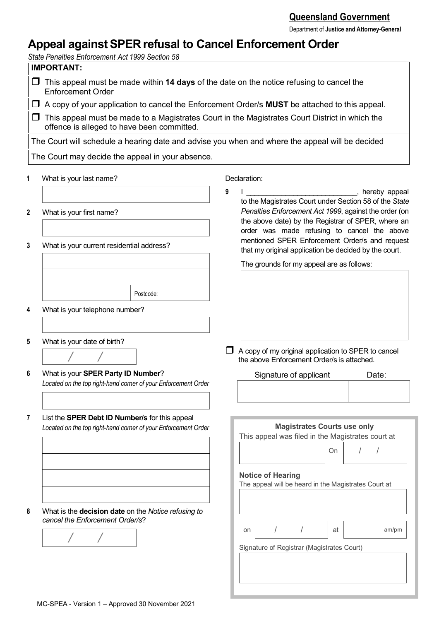Department of **Justice and Attorney-General**

# **Appeal againstSPER refusal to Cancel Enforcement Order**

*State Penalties Enforcement Act 1999 Section 58*

# **IMPORTANT:**

- This appeal must be made within **14 days** of the date on the notice refusing to cancel the Enforcement Order
- A copy of your application to cancel the Enforcement Order/s **MUST** be attached to this appeal.
- $\Box$  This appeal must be made to a Magistrates Court in the Magistrates Court District in which the offence is alleged to have been committed.

The Court will schedule a hearing date and advise you when and where the appeal will be decided The Court may decide the appeal in your absence.

- **1** What is your last name?
- **2** What is your first name?
- **3** What is your current residential address?

Declaration:

**9** I constructed by the set of the set of the set of the set of the set of the set of the set of the set of the set of the set of the set of the set of the set of the set of the set of the set of the set of the set of the to the Magistrates Court under Section 58 of the *State Penalties Enforcement Act 1999*, against the order (on the above date) by the Registrar of SPER, where an order was made refusing to cancel the above mentioned SPER Enforcement Order/s and request that my original application be decided by the court.

The grounds for my appeal are as follows:

 $\Box$  A copy of my original application to SPER to cancel the above Enforcement Order/s is attached.

Signature of applicant Date:

**4** What is your telephone number?

**5** What is your date of birth?

*/ /*

**6** What is your **SPER Party ID Number**? *Located on the top right-hand corner of your Enforcement Order* 

Postcode:

**7** List the **SPER Debt ID Number/s** for this appeal *Located on the top right-hand corner of your Enforcement Order*

**Magistrates Courts use only** This appeal was filed in the Magistrates court at On  $/ / /$ 

## **Notice of Hearing**

The appeal will be heard in the Magistrates Court at

on  $/$  / at am/pm

**8** What is the **decision date** on the *Notice refusing to cancel the Enforcement Order/s*?



Signature of Registrar (Magistrates Court)